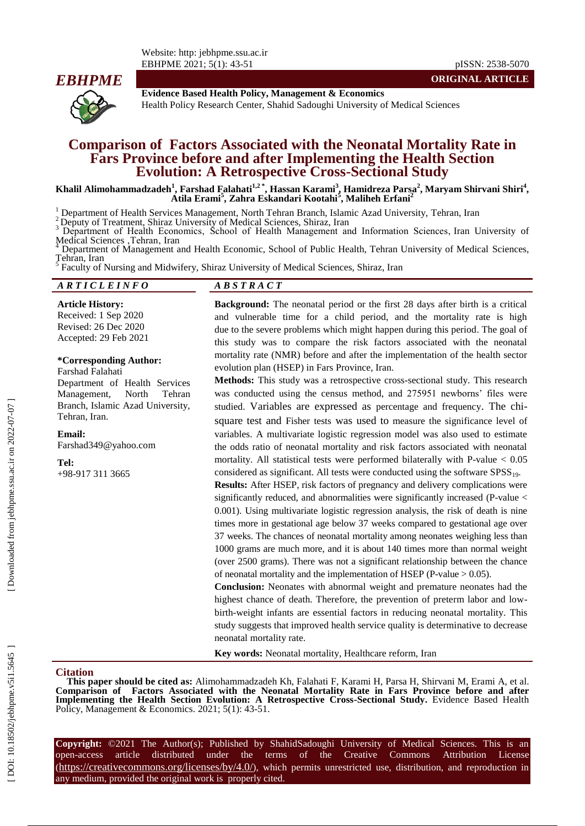

-51 pISSN: 2538 -5070 **ORIGINAL ARTICLE**

**Evidence Based Health Policy, Management & Economics** Health Policy Research Center, Shahid Sadoughi University of Medical Sciences

# **Comparison of Factors Associated with the Neonatal Mortality Rate in Fars Province before and after Implementing the Health Section Evolution : A Retrospective Cross -Sectional Study**

**Khalil Alimohammadzadeh 1 , Farshad Falahati1, 2 \* , Hassan Karami 3 , Hamidreza Parsa 2 , Maryam Shirvani Shiri 4 , Atila Erami 5 , Zahra Eskandari Kootahi 5 , Maliheh Erfani 2**

<sup>1</sup> Department of Health Services Management, North Tehran Branch, Islamic Azad University, Tehran, Iran<br><sup>2</sup> Deputy of Treatment, Shiraz University of Medical Sciences, Shiraz, Iran<br><sup>3</sup> Department of Health Economics, Sch

Department of Management and Health Economic, School of Public Health, Tehran University of Medical Sciences, Tehran, Iran  $\frac{5}{5}$  Foculty of

Faculty of Nursing and Midwifery, Shiraz University of Medical Sciences, Shiraz, Iran

| ARTICLEINFO             | $\overline{AB}$ S T R A C T                                                           |
|-------------------------|---------------------------------------------------------------------------------------|
| <b>Article History:</b> | <b>Background:</b> The neonatal period or the first 28 days after birth is a critical |
| Received: 1 Sep 2020    | and vulnerable time for a child period, and the mortality rate is high                |

Revised: 2 6 Dec 2020 Accepted: 29 Feb 202 1

## **\*Corresponding Author:**

Farshad Falahati Department of Health Services Management, North Tehran Branch, Islamic Azad University, Tehran, Iran .

**Email:** Farshad349@yahoo.com

**Tel:** +98 -917 311 3665

and vulnerable time for a child period, and the mortality rate is high due to the severe problems which might happen during this period . The goal of this study was to compare the risk factors associated with the neonatal mortality rate (NMR) before and after the implementation of the health sector evolution plan (HSEP) in Fars Province, Iran.

**Methods:** This study was a retrospective cross -sectional study. This research was conducted using the census method, and 275951 newborns' files were studied. Variables are expressed as percentage and frequency . The chi square test and Fisher tests was used to measure the significance level of variables. A multivariate logistic regression model was also used to estimate the odds ratio of neonatal mortality and risk factors associated with neonatal mortality. All statistical tests were performed bilaterally with  $P$ -value  $< 0.05$ considered as significant. All tests were conducted using the software  $SPSS_{19}$ .

**Results:** After HSEP, risk factors of pregnancy and delivery complications were significantly reduced, and abnormalities were significantly increased (P-value < 0.001). Using multivariate logistic regression analysis, the risk of death is nine times more in gestational age below 37 weeks compared to gestational age over 37 weeks. The chances of neonatal mortality among neonates weighing less than 1000 grams are much more, and it is about 140 times more than normal weight (over 2500 grams). There was not a significant relationship between the chance of neonatal mortality and the implementation of HSEP (P-value  $> 0.05$ ).

**Conclusion:** Neonates with abnormal weight and premature neonates had the highest chance of death. Therefore, the prevention of preterm labor and low birth -weight infants are essential factors in reducing neonatal mortality. This study suggests that improved health service quality is determinative to decrease neonatal mortality rate.

**Key words:** Neonatal mortality, Healthcare reform, Iran

#### **Citation**

**This paper should be cited as:** Alimohammadzadeh Kh, Falahati F, Karami H, Parsa H, Shirvani M, Erami A, et al. **Comparison of Factors Associated with the Neonatal Mortality Rate in Fars Province before and after**  Implementing the Health Section Evolution: A Retrospective Cross-Sectional Study. Evidence Based Health Policy, Management & Economics. 2021; 5(1): 43-51.

**Copyright:** ©2021 The Author(s); Published by ShahidSadoughi University of Medical Sciences. This is an open-access -access article distributed under the terms of the Creative Commons Attribution License (https://creativecommons.org/licenses/by/4.0/), which permits unrestricted use, distribution, and reproduction in any medium, provided the original work is properly cited.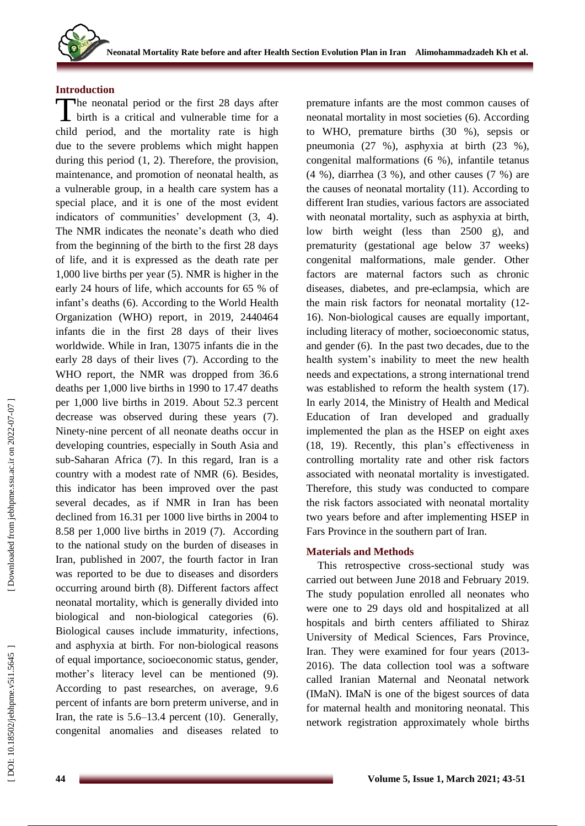### **Introduction**

The neonatal period or the first 28 days after<br>birth is a critical and vulnerable time for a birth is a critical and vulnerable time for a child period, and the mortality rate is high due to the severe problems which might happen during this period (1, 2). Therefore, the provision, maintenance , and promotion of neonatal health, as a vulnerable group, in a health care system has a special place , and it is one of the most evident indicators of communities' development (3, 4). The NMR indicates the neonate's death who die d from the beginning of the birth to the first 28 days of life, and it is expressed as the death rate per 1,000 live births per year (5). NMR is higher in the early 24 hours of life , which accounts for 65 % of infant's deaths (6). According to the World Health Organization (WHO) report, in 2019, 2440464 infants die in the first 28 days of their lives worldwide. While in Iran, 13075 infants die in the early 28 days of their lives (7). According to the WHO report, the NMR was dropped from 36.6 deaths per 1,000 live births in 1990 to 17.47 deaths per 1,000 live births in 2019 . About 52.3 percent decrease was observed during these years (7). Ninety -nine percent of all neonate deaths occur in developing countries, especially in South Asia and sub -Saharan Africa (7 ). In this regard, Iran is a country with a modest rate of NMR (6). Besides, this indicator has been improved over the past several decades, as if NMR in Iran has been declined from 16.31 per 1000 live births in 2004 to 8.58 per 1,000 live births in 2019 (7). According to the national study on the burden of diseases in Iran, published in 2007, the fourth factor in Iran was reported to be due to diseases and disorders occurring around birth (8). Different factors affect neonatal mortality , which is generally divided into biological and non -biological categories (6). Biological causes include immaturity, infections , and asphyxia at birth. For non -biological reasons of equal importance, socioeconomic status, gender, mother's literacy level can be mentioned (9). According to past researches, on average, 9.6 percent of infants are born preterm universe , and in Iran , the rate is 5.6 –13.4 percent (10). Generally, congenital anomalies and diseases related to

premature infants are the most common causes of neonatal mortality in most societies (6). According to WHO, premature births (30 %), sepsis or pneumonia (27 %), asphyxia at birth (23 %), congenital malformations (6 %), infantile tetanus (4 %), diarrhea (3 %), and other causes (7 %) are the causes of neonatal mortality (11). According to different Iran studies, various factors are associated with neonatal mortality, such as asphyxia at birth, low birth weight (less than 2500 g), and prematurity (gestational age below 37 weeks) congenital malformations, male gender. Other factors are maternal factors such as chronic diseases, diabetes , and pre -eclampsia , which are the main risk factors for neonatal mortality (12 - 16). Non -biological causes are equally important , including literacy of mother, socioeconomic status, and gender (6). In the past two decades, due to the health system's inability to meet the new health needs and expectations, a strong international t rend was established to reform the health system (17). In early 2014, the Ministry of Health and Medical Education of Iran developed and gradually implemented the plan as the HSEP on eight axes (18, 19). Recently, this plan's effectiveness in controlling mortality rate and other risk factors associated with neonatal mortality is investigated. Therefore, this study was conducted to compare the risk factors associated with neonatal mortality two years before and after implementing HSEP in Fars Province in the southern part of Iran.

#### **Materials and Methods**

This retrospective cross -sectional study was carried out between June 2018 and February 2019. The study population enrolled all neonates who were one to 29 days old and hospitalized at all hospitals and birth centers affiliated to Shiraz University of Medical Sciences, Fars Province, Iran. They were examined for four years (2013 - 2016). The data collection tool was a software called Iranian Maternal and Neonatal network (IMaN). IMaN is one of the bigest sources of data for maternal health and monitoring neonatal. This network registration approximately whole births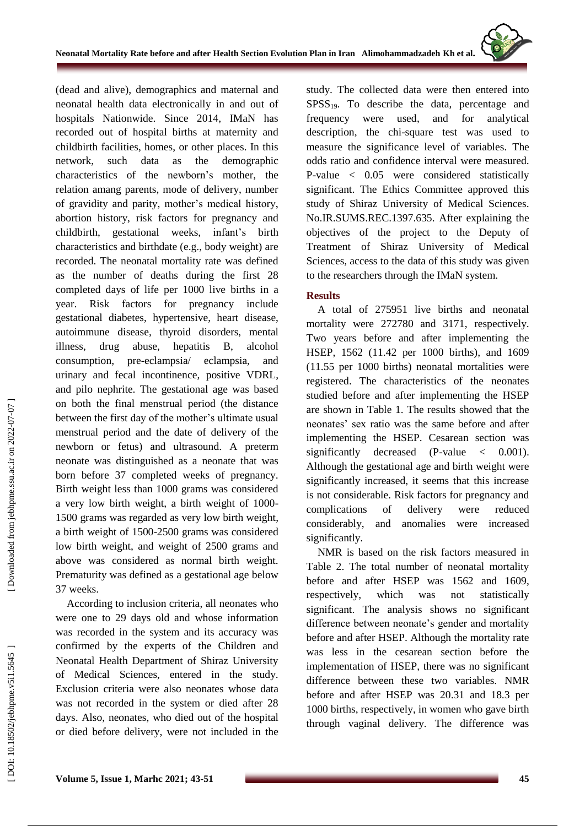(dead and alive), demographics and maternal and neonatal health data electronically in and out of hospitals Nationwide. Since 2014, IMaN has recorded out of hospital births at maternity and childbirth facilities, homes, or other places. In this network, such data as the demographic characteristics of the newborn's mother, the relation amang parents, mode of delivery, number of gravidity and parity, mother's medical history, abortion history, risk factors for pregnancy and childbirth, gestational weeks, infant's birth characteristics and birthdate (e.g., body weight) are recorded. The neonatal mortality rate was defined as the number of deaths during the first 28 completed days of life per 1000 live births in a year. Risk factors for pregnancy include gestational diabetes, hypertensive, heart disease, autoimmune disease, thyroid disorders, mental illness, drug abuse, hepatitis B, alcohol consumption, pre -eclampsia/ eclampsia, and urinary and fecal incontinence, positive VDRL, and pilo nephrite. The gestational age was based on both the final menstrual period (the distance between the first day of the mother's ultimate usual menstrual period and the date of delivery of the newborn or fetus) and ultrasound. A preterm neonate was distinguished as a neonate that was born before 37 completed weeks of pregnancy. Birth weight less than 1000 grams was considered a very low birth weight, a birth weight of 1000- 1500 grams was regarded as very low birth weight, a birth weight of 1500 -2500 grams was considered low birth weight, and weight of 2500 grams and above was considered as normal birth weight. Prematurity was defined as a gestational age below 37 weeks .

According to inclusion criteria , all neonates who were one to 29 days old and whose information was recorded in the system and its accuracy was confirmed by the experts of the Children and Neonatal Health Department of Shiraz University of Medical Sciences, entered in the study. Exclusion criteria were also neonates whose data was not recorded in the system or died after 28 days. Also, neonates , who died out of the hospital or died before delivery , were not included in the study. The collected data were then entered into  $SPSS<sub>19</sub>$ . To describe the data, percentage and frequency were used , and for analytical description, the chi -square test was used to measure the significance level of variables. The odds ratio and confidence interval were measured.<br>P-value  $\langle 0.05 \rangle$  were considered statistically significant. The Ethics Committee approved this study of Shiraz University of Medical Sciences. No.IR.SUMS.REC.1397.635. After explaining the objectives of the project to the Deputy of Treatment of Shiraz University of Medical Sciences, access to the data of this study was given to the researchers through the I M a N system .

## **Results**

A total of 275951 live births and neonatal mortality were 272780 and 3171 , respectively. Two years before and after implementing the HSEP, 1562 (11.42 per 1000 births), and 1609 (11.55 per 1000 births) neonatal mortalities were registered. The characteristics of the neonates studied before and after implementing the HSEP are shown in Table 1. The results showed that the neonates' sex ratio was the same before and after implementing the HSEP. Cesarean section was significantly decreased (P-value < 0.001). Although the gestational age and birth weight were significantly increased, it seems that this increase is not considerable. Risk factors for pregnancy and complications of delivery were reduced considerably, and anomalies were increased significantly.

NMR is based on the risk factors measured in Table 2. The total number of neonatal mortality before and after HSEP was 1562 and 1609 , respectively which was not statistically significant. The analysis shows no significant difference between neonate's gender and mortality before and after HSEP. Although the mortality rate was less in the cesarean section before the implementation of HSEP, there was no significant difference between these two variables. NMR before and after HSEP was 20.31 and 18.3 per 1000 births , respectively , in women who gave birth through vaginal delivery. The difference was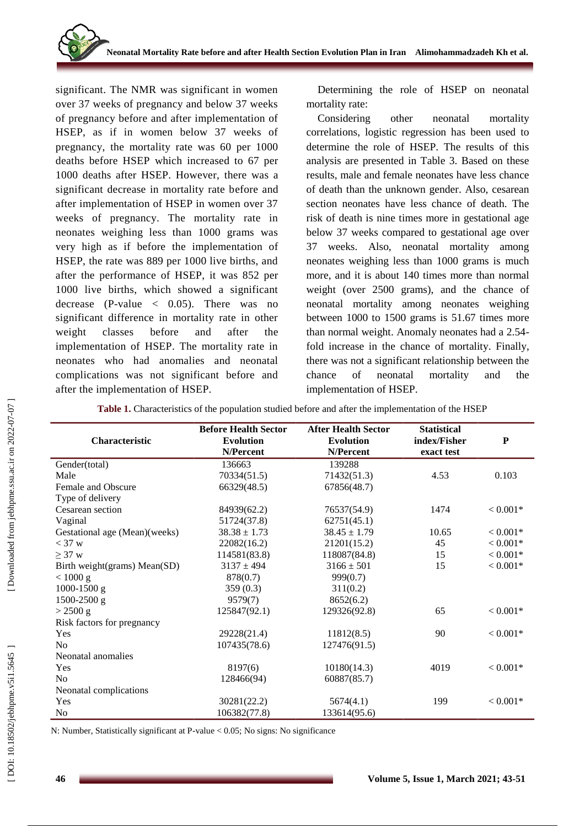significant. The NMR was significant in women over 37 weeks of pregnancy and below 37 weeks of pregnancy before and after implementation of HSEP, as if in women below 37 weeks of pregnancy, the mortality rate was 60 per 1000 deaths before HSEP which increased to 67 per 1000 deaths after HSEP. However, there was a significant decrease in mortality rate before and after implementation of HSEP in women over 37 weeks of pregnancy. The mortality rate in neonates weighing less than 1000 grams was very high as if before the implementation of HSEP, the rate was 889 per 1000 live births, and after the performance of HSEP , it was 852 per 1000 live births, which showed a significant decrease (P-value  $\langle 0.05 \rangle$ . There was no significant difference in mortality rate in other weight classes before and after the implementation of HSEP. The mortality rate in neonates who had anomalies and neonatal complications was not significant before and after the implementation of HSEP.

Determining the role of HSEP on neonatal mortality rate:

Considering other neonatal mortality correlations, logistic regression has been used to determine the role of HSEP. The results of this analysis are presented in Table 3. Based on these results, male and female neonates have less chance of death than the unknown gender. Also, cesarean section neonates have less chance of death. The risk of death is nine times more in gestational age below 37 weeks compared to gestational age over 37 weeks. Also, neonatal mortality among neonates weighing less than 1000 grams is much more , and it is about 140 times more than normal weight (over 2500 grams), and the chance of neonatal mortality among neonates weighing between 1000 to 1500 grams is 51.67 times more than normal weight. Anomaly neonates had a 2.54 fold increase in the chance of mortality. Finally, there was not a significant relationship between the chance of neonatal mortality and the implementation of HSEP.

| <b>Characteristic</b>         | <b>Before Health Sector</b><br><b>Evolution</b><br>N/Percent | <b>After Health Sector</b><br><b>Evolution</b><br>N/Percent | <b>Statistical</b><br>index/Fisher<br>exact test | P          |
|-------------------------------|--------------------------------------------------------------|-------------------------------------------------------------|--------------------------------------------------|------------|
| Gender(total)                 | 136663                                                       | 139288                                                      |                                                  |            |
| Male                          | 70334(51.5)                                                  | 71432(51.3)                                                 | 4.53                                             | 0.103      |
| Female and Obscure            | 66329(48.5)                                                  | 67856(48.7)                                                 |                                                  |            |
| Type of delivery              |                                                              |                                                             |                                                  |            |
| Cesarean section              | 84939(62.2)                                                  | 76537(54.9)                                                 | 1474                                             | $< 0.001*$ |
| Vaginal                       | 51724(37.8)                                                  | 62751(45.1)                                                 |                                                  |            |
| Gestational age (Mean)(weeks) | $38.38 \pm 1.73$                                             | $38.45 \pm 1.79$                                            | 10.65                                            | $< 0.001*$ |
| $<$ 37 w                      | 22082(16.2)                                                  | 21201(15.2)                                                 | 45                                               | $< 0.001*$ |
| $\geq$ 37 w                   | 114581(83.8)                                                 | 118087(84.8)                                                | 15                                               | $< 0.001*$ |
| Birth weight(grams) Mean(SD)  | $3137 \pm 494$                                               | $3166 \pm 501$                                              | 15                                               | $< 0.001*$ |
| < 1000 g                      | 878(0.7)                                                     | 999(0.7)                                                    |                                                  |            |
| $1000 - 1500$ g               | 359(0.3)                                                     | 311(0.2)                                                    |                                                  |            |
| $1500-2500$ g                 | 9579(7)                                                      | 8652(6.2)                                                   |                                                  |            |
| $> 2500 \text{ g}$            | 125847(92.1)                                                 | 129326(92.8)                                                | 65                                               | $< 0.001*$ |
| Risk factors for pregnancy    |                                                              |                                                             |                                                  |            |
| Yes                           | 29228(21.4)                                                  | 11812(8.5)                                                  | 90                                               | $< 0.001*$ |
| N <sub>0</sub>                | 107435(78.6)                                                 | 127476(91.5)                                                |                                                  |            |
| Neonatal anomalies            |                                                              |                                                             |                                                  |            |
| Yes                           | 8197(6)                                                      | 10180(14.3)                                                 | 4019                                             | $< 0.001*$ |
| No                            | 128466(94)                                                   | 60887(85.7)                                                 |                                                  |            |
| Neonatal complications        |                                                              |                                                             |                                                  |            |
| Yes                           | 30281(22.2)                                                  | 5674(4.1)                                                   | 199                                              | $< 0.001*$ |
| No                            | 106382(77.8)                                                 | 133614(95.6)                                                |                                                  |            |

**Table 1 .** Characteristics of the population studied before and after the implementation of the HSEP

N: Number, Statistically significant at P -value < 0 .05; No signs: No significance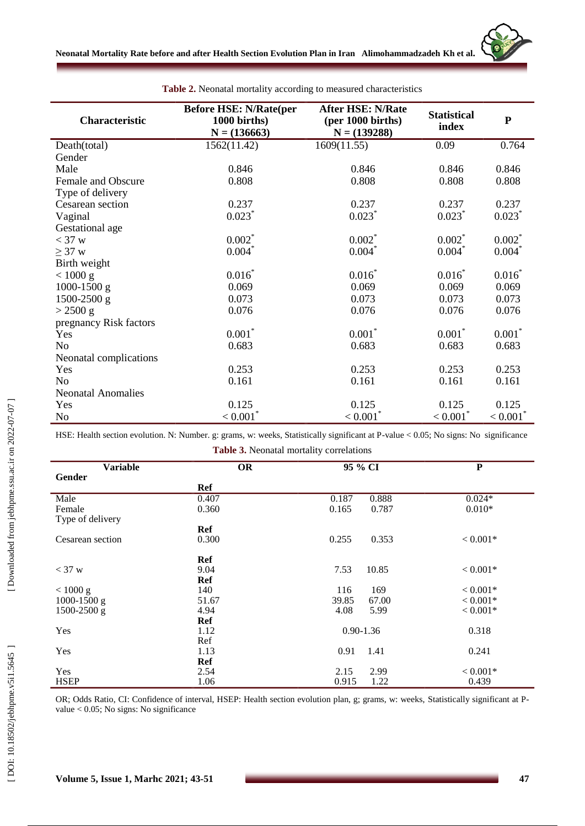| Table 2. Neonatal mortality according to measured characteristics |                                                                 |                                                                                  |                             |                        |  |  |
|-------------------------------------------------------------------|-----------------------------------------------------------------|----------------------------------------------------------------------------------|-----------------------------|------------------------|--|--|
| Characteristic                                                    | <b>Before HSE: N/Rate(per</b><br>1000 births)<br>$N = (136663)$ | <b>After HSE: N/Rate</b><br>$(\text{per }1000 \text{ births})$<br>$N = (139288)$ | <b>Statistical</b><br>index | ${\bf P}$              |  |  |
| Death(total)                                                      | 1562(11.42)                                                     | 1609(11.55)                                                                      | 0.09                        | 0.764                  |  |  |
| Gender                                                            |                                                                 |                                                                                  |                             |                        |  |  |
| Male                                                              | 0.846                                                           | 0.846                                                                            | 0.846                       | 0.846                  |  |  |
| Female and Obscure                                                | 0.808                                                           | 0.808                                                                            | 0.808                       | 0.808                  |  |  |
| Type of delivery                                                  |                                                                 |                                                                                  |                             |                        |  |  |
| Cesarean section                                                  | 0.237                                                           | 0.237                                                                            | 0.237                       | 0.237                  |  |  |
| Vaginal                                                           | $0.023$ <sup>*</sup>                                            | 0.023                                                                            | $0.023$ <sup>*</sup>        | $0.023$ <sup>*</sup>   |  |  |
| Gestational age                                                   |                                                                 |                                                                                  |                             |                        |  |  |
| $<$ 37 w                                                          | $0.002*$                                                        | $0.002*$                                                                         | $0.002*$                    | $0.002*$               |  |  |
| $\geq$ 37 w                                                       | $0.004*$                                                        | $0.004*$                                                                         | $0.004*$                    | $0.004*$               |  |  |
| Birth weight                                                      |                                                                 |                                                                                  |                             |                        |  |  |
| $< 1000 \text{ g}$                                                | $0.016^*$                                                       | $0.016*$                                                                         | $0.016^*$                   | $0.016*$               |  |  |
| $1000 - 1500$ g                                                   | 0.069                                                           | 0.069                                                                            | 0.069                       | 0.069                  |  |  |
| 1500-2500 g                                                       | 0.073                                                           | 0.073                                                                            | 0.073                       | 0.073                  |  |  |
| $> 2500$ g                                                        | 0.076                                                           | 0.076                                                                            | 0.076                       | 0.076                  |  |  |
| pregnancy Risk factors                                            |                                                                 |                                                                                  |                             |                        |  |  |
| Yes                                                               | $0.001$ <sup>*</sup>                                            | $0.001*$                                                                         | $0.001$ <sup>*</sup>        | $0.001*$               |  |  |
| N <sub>o</sub>                                                    | 0.683                                                           | 0.683                                                                            | 0.683                       | 0.683                  |  |  |
| Neonatal complications                                            |                                                                 |                                                                                  |                             |                        |  |  |
| Yes                                                               | 0.253                                                           | 0.253                                                                            | 0.253                       | 0.253                  |  |  |
| N <sub>o</sub>                                                    | 0.161                                                           | 0.161                                                                            | 0.161                       | 0.161                  |  |  |
| <b>Neonatal Anomalies</b>                                         |                                                                 |                                                                                  |                             |                        |  |  |
| Yes                                                               | 0.125                                                           | 0.125                                                                            | 0.125                       | 0.125                  |  |  |
| N <sub>o</sub>                                                    | $< 0.001$ <sup>*</sup>                                          | $< 0.001$ <sup>*</sup>                                                           | $\leq 0.001$ *              | $< 0.001$ <sup>*</sup> |  |  |

HSE: Health section evolution. N: Number. g: grams, w: weeks, Statistically significant at P -value < 0.05; No signs: No significance

**Table 3.** Neonatal mortality correlations

| <b>Variable</b>    | $\overline{\text{OR}}$ | 95 % CI        | $\overline{\mathbf{P}}$ |
|--------------------|------------------------|----------------|-------------------------|
| Gender             |                        |                |                         |
|                    | Ref                    |                |                         |
| Male               | 0.407                  | 0.187<br>0.888 | $0.024*$                |
| Female             | 0.360                  | 0.165<br>0.787 | $0.010*$                |
| Type of delivery   |                        |                |                         |
|                    | Ref                    |                |                         |
| Cesarean section   | 0.300                  | 0.255<br>0.353 | $< 0.001*$              |
|                    |                        |                |                         |
|                    | Ref                    |                |                         |
| $<$ 37 w           | 9.04                   | 7.53<br>10.85  | $< 0.001*$              |
|                    | Ref                    |                |                         |
| $< 1000 \text{ g}$ | 140                    | 169<br>116     | $< 0.001*$              |
| $1000 - 1500$ g    | 51.67                  | 39.85<br>67.00 | $< 0.001*$              |
| 1500-2500 g        | 4.94                   | 4.08<br>5.99   | $< 0.001*$              |
|                    | Ref                    |                |                         |
| Yes                | 1.12                   | $0.90 - 1.36$  | 0.318                   |
|                    | Ref                    |                |                         |
| Yes                | 1.13                   | 1.41<br>0.91   | 0.241                   |
|                    | Ref                    |                |                         |
| Yes                | 2.54                   | 2.99<br>2.15   | $< 0.001*$              |
| <b>HSEP</b>        | 1.06                   | 0.915<br>1.22  | 0.439                   |

OR; Odds Ratio, CI: Confidence of interval, HSEP: Health section evolution plan, g; grams, w: weeks, Statistically significant at P value < 0.05; No signs: No significance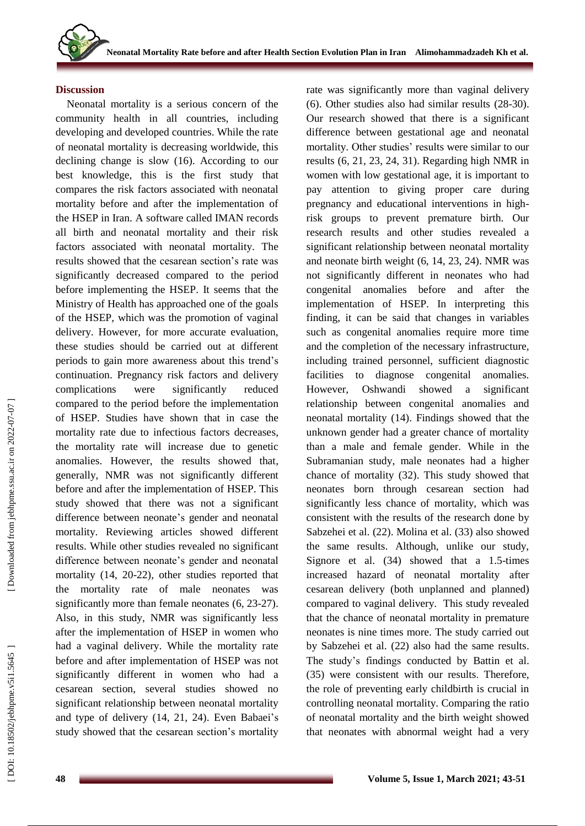#### **Discussion**

Neonatal mortality is a serious concern of the community health in all countries, including developing and developed countries. While the rate of neonatal mortality is decreasing worldwide, this declining change is slow (16). According to our best knowledge, this is the first study that compare s the risk factors associated with neonatal mortality before and after the implementation of the HSEP in Iran. A software called IMAN records all birth and neonatal mortality and their risk factors associated with neonatal mortality. The results showed that the cesarean section's rate was significantly decreased compared to the period before implementing the HSEP. It seems that the Ministry of Health has approached one of the goals of the HSEP , which was the promotion of vaginal delivery. However, for more accurate evaluation, these studies should be carried out at different periods to gain more awareness about this trend's continuation. Pregnancy risk factors and delivery complications were significantly reduced compared to the period before the implementation of HSEP. Studies have shown that in case the mortality rate due to infectious factors decrease s, the mortality rate will increase due to genetic anomalies. However, the results showed that , generally, NMR was not significantly different before and after the implementation of HSEP. This study showed that there was not a significant difference between neonate's gender and neonatal mortality. Reviewing articles showed different results. While other studies revealed no significant difference between neonate's gender and neonatal mortality (14, 20 -22), other studies reported that the mortality rate of male neonates was significantly more than female neonates  $(6, 23-27)$ . Also, in this study, NMR was significantly less after the implementation of HSEP in women who had a vaginal delivery. While the mortality rate before and after implementation of HSEP was not significantly different in women who had a cesarean section, several studies showed no significant relationship between neonatal mortality and type of delivery (14, 21, 24). Even Babaei's study showed that the cesarean section's mortality

rate was significantly more than vaginal delivery (6). Other studies also had similar results (28 -30). Our research showed that there is a significant difference between gestational age and neonatal mortality. Other studies' results were similar to our results (6, 21, 23, 24, 31). Regarding high NMR in women with low gestational age, it is important to pay attention to giving proper care during pregnancy and educational interventions in high risk groups to prevent premature birth. Our research results and other studies revealed a significant relationship between neonatal mortality and neonate birth weight (6, 14, 23, 24). NMR was not significantly different in neonates who had congenital anomalies before and after the implementation of HSEP. In interpreting this finding, it can be said that changes in variables such as congenital anomalies require more time and the completion of the necessary infrastructure, including trained personnel, sufficient diagnostic facilities to diagnose congenital anomalies. However, Oshwandi showed a significant relationship between congenital anomalies and neonatal mortality (14). Findings showed that the unknown gender had a greater chance of mortality than a male and female gender. While in the Subramanian study , male neonates had a higher chance of mortality (32). This study showed that neonates born through cesarean section had significantly less chance of mortality, which was consistent with the results of the research done by Sabzehei et al. (22). Molina et al. (33) also showed the same results. Although, unlike our study, Signore et al. (34) showed that a 1.5 -times increased hazard of neonatal mortality after cesarean delivery (both unplanned and planned) compared to vaginal delivery. This study revealed that the chance of neonatal mortality in premature neonates is nine times more. The study carried out by Sabzehei et al. (22) also had the same results . The study's findings conducted by Battin et al. (35) were consistent with our results . Therefore, the role of preventing early childbirth is crucial in controlling neonatal mortality. Comparing the ratio of neonatal mortality and the birth weight showed that neonates with abnormal weight had a very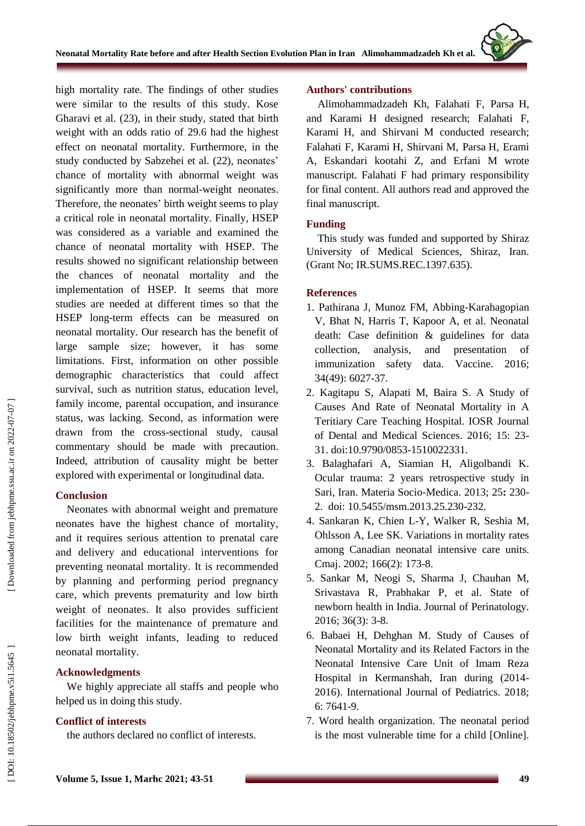high mortality rate . The findings of other studies were similar to the results of this study. Kose Gharavi et al. (23) , in their study , stated that birth weight with an odds ratio of 29.6 had the highest effect on neonatal mortality. Furthermore, in the study conducted by Sabzehei et al. (22) , neonates' chance of mortality with abnormal weight was significantly more than normal -weight neonates. Therefore, the neonates ' birth weight seems to play a critical role in neonatal mortality. Finally, HSEP was considered as a variable and examined the chance of neonatal mortality with HSEP. The results showed no significant relationship between the chances of neonatal mortality and the implementation of HSEP. It seems that more studies are needed at different times so that the HSEP long -term effects can be measured on neonatal mortality. Our research has the benefit of large sample size; however, it has some limitations. First, information on other possible demographic characteristics that could affect survival, such as nutrition status, education level, family income, parental occupation , and insurance status, was lacking. Second, as information were drawn from the cross -sectional study, causal commentary should be made with precaution. Indeed, attribution of causality might be better explored with experimental or longitudinal data.

### **Conclusion**

Neonates with abnormal weight and premature neonates have the highest chance of mortality , and it requires serious attention to prenatal care and delivery and educational interventions for preventing neonatal mortality. It is recommended by planning and performing period pregnancy care, which prevents prematurity and low birth weight of neonates. It also provides sufficient facilities for the maintenance of premature and low birth weight infants, leading to reduced neonatal mortality.

## **Acknowledgments**

We highly appreciate all staffs and people who helped us in doing this study.

## **Conflict of interests**

the authors declared no conflict of interests.

## **Authors' contributions**

Alimohammadzadeh Kh, Falahati F, Parsa H, and Karami H designed research; Falahati F, Karami H, and Shirvani M conducted research ; Falahati F, Karami H, Shirvani M, Parsa H, Erami A, Eskandari kootahi Z, and Erfani M wrote manuscript. Falahati F had primary responsibility for final content. All authors read and approved the final manuscript.

## **Funding**

This study was funded and supported by Shiraz University of Medical Sciences, Shiraz, Iran. (Grant No; IR.SUMS.REC.1397.635).

# **References**

- 1. Pathirana J, Munoz FM, Abbing -Karahagopian V, Bhat N, Harris T, Kapoor A, et al. Neonatal death: Case definition & guidelines for data collection, analysis, and presentation of immunization safety data. Vaccine. 2016; 34(49): 6027 -37.
- 2. Kagitapu S, Alapati M, Baira S. A Study of Causes And Rate of Neonatal Mortality in A Teritiary Care Teaching Hospital. IOSR Journal of Dental and Medical Sciences. 2016; 15: 23 - 31. doi:10.9790/0853 -1510022331.
- 3. Balaghafari A, Siamian H, Aligolbandi K. Ocular trauma: 2 years retrospective study in Sari, Iran. Materia Socio -Medica. 2013; 25 **:** 230 - 2. doi: [10.5455/msm.2013.25.230](https://dx.doi.org/10.5455%2Fmsm.2013.25.230-232) -232 .
- 4. Sankaran K, Chien L -Y, Walker R, Seshia M, Ohlsson A, Lee SK. Variations in mortality rates among Canadian neonatal intensive care units. Cmaj. 2002; 166(2): 173 -8.
- 5. Sankar M, Neogi S, Sharma J, Chauhan M, Srivastava R, Prabhakar P, et al. State of newborn health in India. Journal of Perinatology. 2016; 36(3): 3 -8.
- 6. Babaei H, Dehghan M. Study of Causes of Neonatal Mortality and its Related Factors in the Neonatal Intensive Care Unit of Imam Reza Hospital in Kermanshah, Iran during (2014 - 2016). International Journal of Pediatrics. 2018; 6: 7641 -9.
- 7. Word health organization. The neonatal period is the most vulnerable time for a child [Online].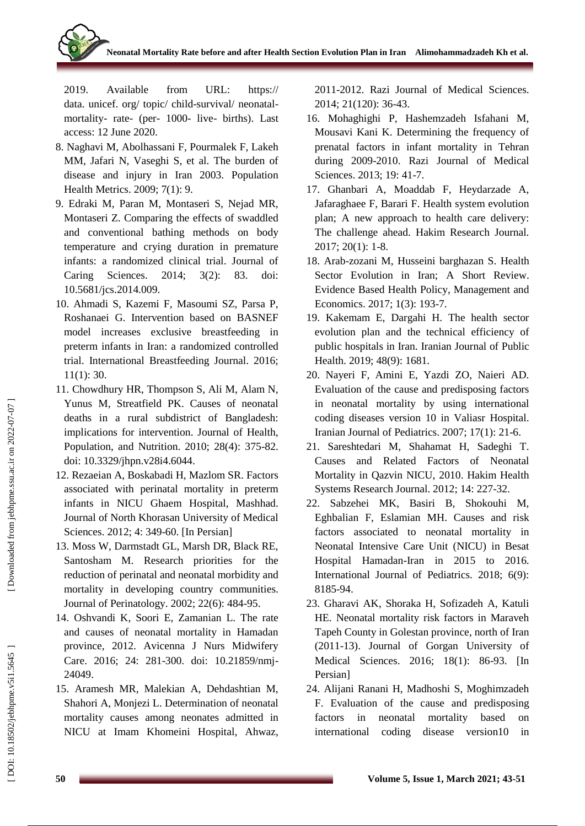

2019. Available from URL: https:// data. unicef . org/ topic/ child -survival/ neonatal mortality - rate - (per - 1000 - live - births). Last access: 12 June 2020.

- 8. Naghavi M, Abolhassani F, Pourmalek F, Lakeh MM, Jafari N, Vaseghi S, et al. The burden of disease and injury in Iran 2003. Population Health Metrics. 2009; 7(1): 9.
- 9. Edraki M, Paran M, Montaseri S, Nejad MR, Montaseri Z. Comparing the effects of swaddled and conventional bathing methods on body temperature and crying duration in premature infants: a randomized clinical trial. Journal of Caring Sciences. 2014; 3(2): 83. doi: 10.5681/jcs.2014.009.
- 10. Ahmadi S, Kazemi F, Masoumi SZ, Parsa P, Roshanaei G. Intervention based on BASNEF model increases exclusive breastfeeding in preterm infants in Iran: a randomized controlled trial. International Breastfeeding Journal. 2016; 11(1): 30.
- 11. Chowdhury HR, Thompson S, Ali M, Alam N, Yunus M, Streatfield PK. Causes of neonatal deaths in a rural subdistrict of Bangladesh: implications for intervention. Journal of Health, Population, and Nutrition. 2010; 28(4): 375 -82. doi: 10.3329/jhpn.v28i4.6044.
- 12. Rezaeian A, Boskabadi H, Mazlom SR. Factors associated with perinatal mortality in preterm infants in NICU Ghaem Hospital, Mashhad. Journal of North Khorasan University of Medical Sciences. 2012; 4: 349-60. [In Persian]
- 13. Moss W, Darmstadt GL, Marsh DR, Black RE, Santosham M. Research priorities for the reduction of perinatal and neonatal morbidity and mortality in developing country communities. Journal of Perinatology. 2002; 22(6): 484 -95.
- 14. Oshvandi K, Soori E, Zamanian L. The rate and causes of neonatal mortality in Hamadan province, 2012. Avicenna J Nurs Midwifery Care. 2016; 24: 281 -300. doi: 10.21859/nmj - 24049.
- 15. Aramesh MR, Malekian A, Dehdashtian M, Shahori A, Monjezi L. Determination of neonatal mortality causes among neonates admitted in NICU at Imam Khomeini Hospital, Ahwaz,

2011 -2012. Razi Journal of Medical Sciences. 2014; 21(120): 36 -43.

- 16. Mohaghighi P, Hashemzadeh Isfahani M, Mousavi Kani K. Determining the frequency of prenatal factors in infant mortality in Tehran during 2009 -2010. Razi Journal of Medical Sciences. 2013; 19: 41 -7.
- 17. Ghanbari A, Moaddab F, Heydarzade A, Jafaraghaee F, Barari F. Health system evolution plan; A new approach to health care delivery: The challenge ahead. Hakim Research Journal. 2017; 20(1): 1 -8.
- 18. Arab -zozani M, Husseini barghazan S. Health Sector Evolution in Iran; A Short Review. Evidence Based Health Policy, Management and Economics. 2017; 1(3): 193 -7.
- 19. Kakemam E, Dargahi H. The health sector evolution plan and the technical efficiency of public hospitals in Iran. Iranian Journal of Public Health. 2019; 48(9): 1681.
- 20. Nayeri F, Amini E, Yazdi ZO, Naieri AD. Evaluation of the cause and predisposing factors in neonatal mortality by using international coding diseases version 10 in Valiasr Hospital. Iranian Journal of Pediatrics. 2007; 17(1): 21 -6.
- 21. Sareshtedari M, Shahamat H, Sadeghi T. Causes and Related Factors of Neonatal Mortality in Qazvin NICU, 2010. Hakim Health Systems Research Journal. 2012; 14: 227 -32.
- 22. Sabzehei MK, Basiri B, Shokouhi M, Eghbalian F, Eslamian MH. Causes and risk factors associated to neonatal mortality in Neonatal Intensive Care Unit (NICU) in Besat Hospital Hamadan -Iran in 2015 to 2016. International Journal of Pediatrics. 2018; 6(9): 8185 -94.
- 23. Gharavi AK, Shoraka H, Sofizadeh A, Katuli HE. Neonatal mortality risk factors in Maraveh Tapeh County in Golestan province, north of Iran (2011 -13). Journal of Gorgan University of Medical Sciences. 2016; 18(1): 86 -93. [In Persian]
- 24. Alijani Ranani H, Madhoshi S, Moghimzadeh F. Evaluation of the cause and predisposing factors in neonatal mortality based on international coding disease version10 in